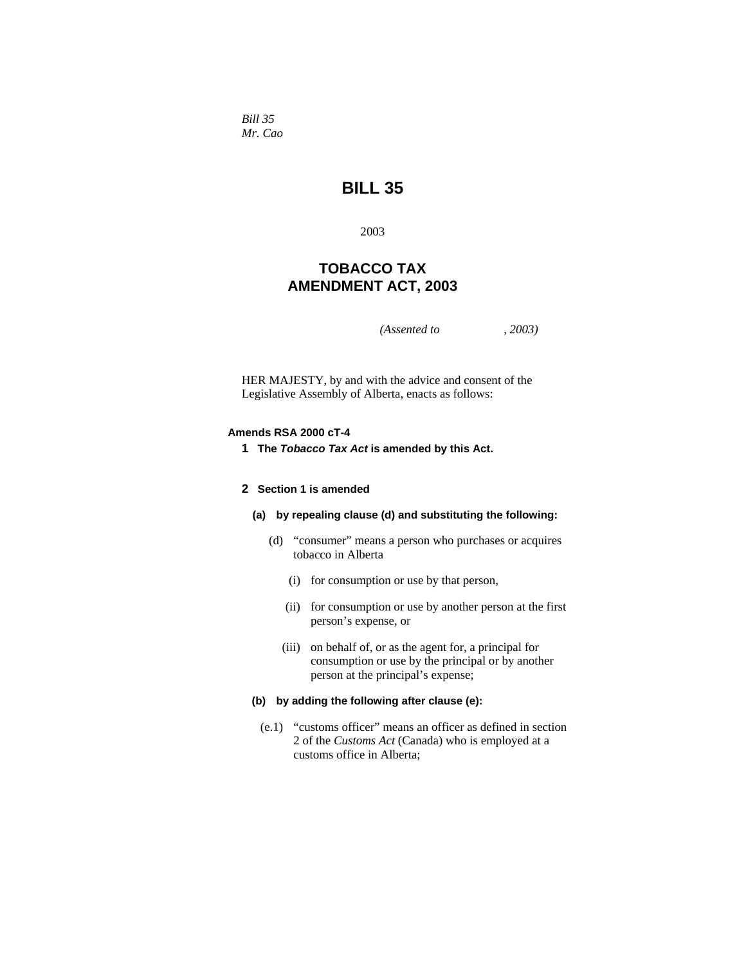*Bill 35 Mr. Cao* 

# **BILL 35**

2003

# **TOBACCO TAX AMENDMENT ACT, 2003**

*(Assented to , 2003)* 

HER MAJESTY, by and with the advice and consent of the Legislative Assembly of Alberta, enacts as follows:

#### **Amends RSA 2000 cT-4**

**1 The** *Tobacco Tax Act* **is amended by this Act.** 

#### **2 Section 1 is amended**

- **(a) by repealing clause (d) and substituting the following:** 
	- (d) "consumer" means a person who purchases or acquires tobacco in Alberta
		- (i) for consumption or use by that person,
		- (ii) for consumption or use by another person at the first person's expense, or
		- (iii) on behalf of, or as the agent for, a principal for consumption or use by the principal or by another person at the principal's expense;

## **(b) by adding the following after clause (e):**

 (e.1) "customs officer" means an officer as defined in section 2 of the *Customs Act* (Canada) who is employed at a customs office in Alberta;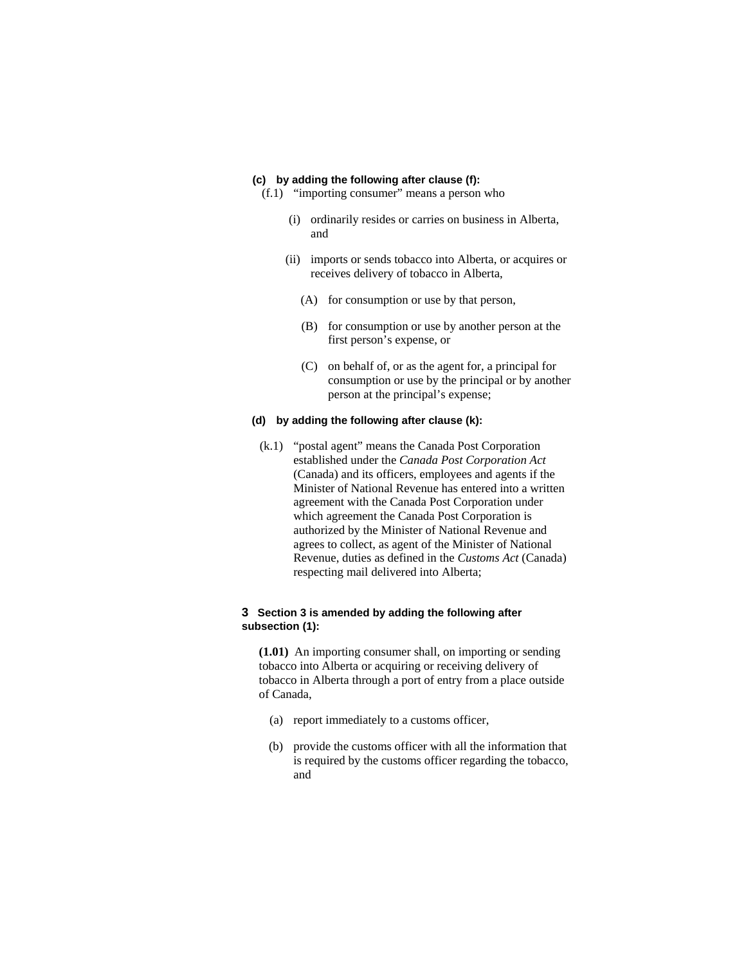#### **(c) by adding the following after clause (f):**

- (f.1) "importing consumer" means a person who
	- (i) ordinarily resides or carries on business in Alberta, and
	- (ii) imports or sends tobacco into Alberta, or acquires or receives delivery of tobacco in Alberta,
		- (A) for consumption or use by that person,
		- (B) for consumption or use by another person at the first person's expense, or
		- (C) on behalf of, or as the agent for, a principal for consumption or use by the principal or by another person at the principal's expense;

#### **(d) by adding the following after clause (k):**

 (k.1) "postal agent" means the Canada Post Corporation established under the *Canada Post Corporation Act* (Canada) and its officers, employees and agents if the Minister of National Revenue has entered into a written agreement with the Canada Post Corporation under which agreement the Canada Post Corporation is authorized by the Minister of National Revenue and agrees to collect, as agent of the Minister of National Revenue, duties as defined in the *Customs Act* (Canada) respecting mail delivered into Alberta;

#### **3 Section 3 is amended by adding the following after subsection (1):**

**(1.01)** An importing consumer shall, on importing or sending tobacco into Alberta or acquiring or receiving delivery of tobacco in Alberta through a port of entry from a place outside of Canada,

- (a) report immediately to a customs officer,
- (b) provide the customs officer with all the information that is required by the customs officer regarding the tobacco, and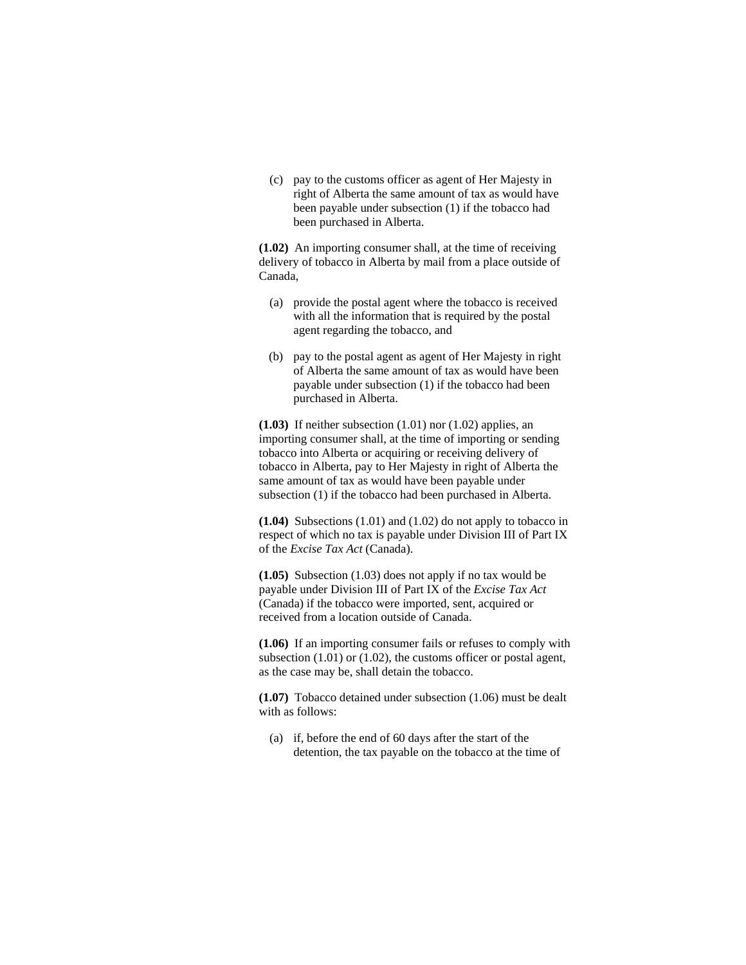(c) pay to the customs officer as agent of Her Majesty in right of Alberta the same amount of tax as would have been payable under subsection (1) if the tobacco had been purchased in Alberta.

**(1.02)** An importing consumer shall, at the time of receiving delivery of tobacco in Alberta by mail from a place outside of Canada,

- (a) provide the postal agent where the tobacco is received with all the information that is required by the postal agent regarding the tobacco, and
- (b) pay to the postal agent as agent of Her Majesty in right of Alberta the same amount of tax as would have been payable under subsection (1) if the tobacco had been purchased in Alberta.

**(1.03)** If neither subsection (1.01) nor (1.02) applies, an importing consumer shall, at the time of importing or sending tobacco into Alberta or acquiring or receiving delivery of tobacco in Alberta, pay to Her Majesty in right of Alberta the same amount of tax as would have been payable under subsection (1) if the tobacco had been purchased in Alberta.

**(1.04)** Subsections (1.01) and (1.02) do not apply to tobacco in respect of which no tax is payable under Division III of Part IX of the *Excise Tax Act* (Canada).

**(1.05)** Subsection (1.03) does not apply if no tax would be payable under Division III of Part IX of the *Excise Tax Act* (Canada) if the tobacco were imported, sent, acquired or received from a location outside of Canada.

**(1.06)** If an importing consumer fails or refuses to comply with subsection (1.01) or (1.02), the customs officer or postal agent, as the case may be, shall detain the tobacco.

**(1.07)** Tobacco detained under subsection (1.06) must be dealt with as follows:

 (a) if, before the end of 60 days after the start of the detention, the tax payable on the tobacco at the time of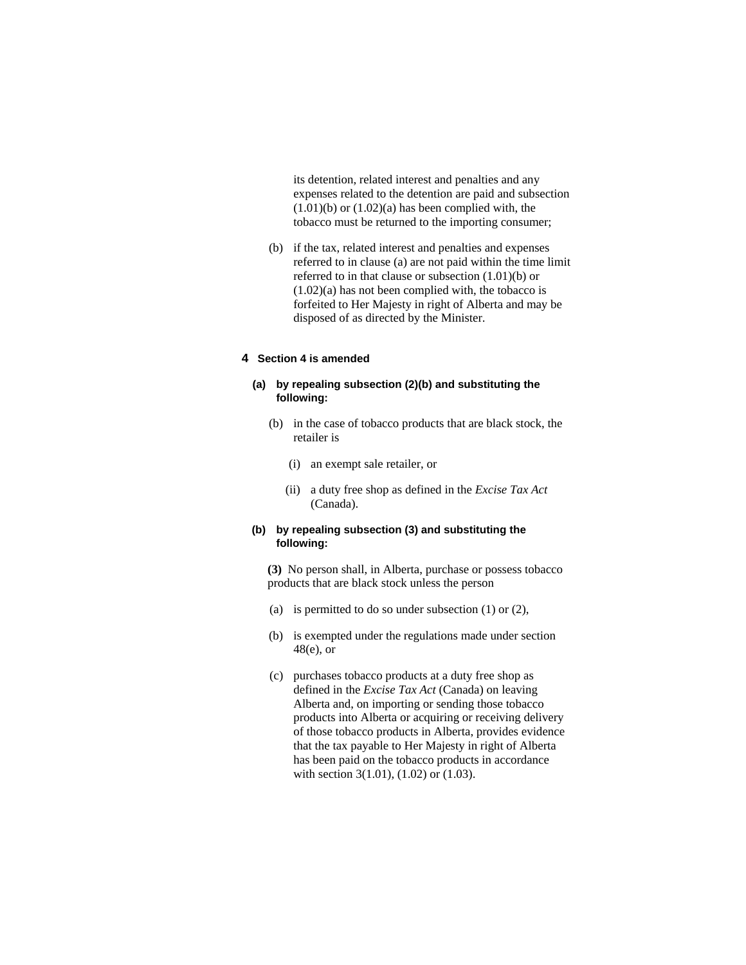its detention, related interest and penalties and any expenses related to the detention are paid and subsection  $(1.01)(b)$  or  $(1.02)(a)$  has been complied with, the tobacco must be returned to the importing consumer;

 (b) if the tax, related interest and penalties and expenses referred to in clause (a) are not paid within the time limit referred to in that clause or subsection (1.01)(b) or (1.02)(a) has not been complied with, the tobacco is forfeited to Her Majesty in right of Alberta and may be disposed of as directed by the Minister.

#### **4 Section 4 is amended**

#### **(a) by repealing subsection (2)(b) and substituting the following:**

- (b) in the case of tobacco products that are black stock, the retailer is
	- (i) an exempt sale retailer, or
	- (ii) a duty free shop as defined in the *Excise Tax Act* (Canada).

## **(b) by repealing subsection (3) and substituting the following:**

**(3)** No person shall, in Alberta, purchase or possess tobacco products that are black stock unless the person

- (a) is permitted to do so under subsection  $(1)$  or  $(2)$ ,
- (b) is exempted under the regulations made under section 48(e), or
- (c) purchases tobacco products at a duty free shop as defined in the *Excise Tax Act* (Canada) on leaving Alberta and, on importing or sending those tobacco products into Alberta or acquiring or receiving delivery of those tobacco products in Alberta, provides evidence that the tax payable to Her Majesty in right of Alberta has been paid on the tobacco products in accordance with section 3(1.01), (1.02) or (1.03).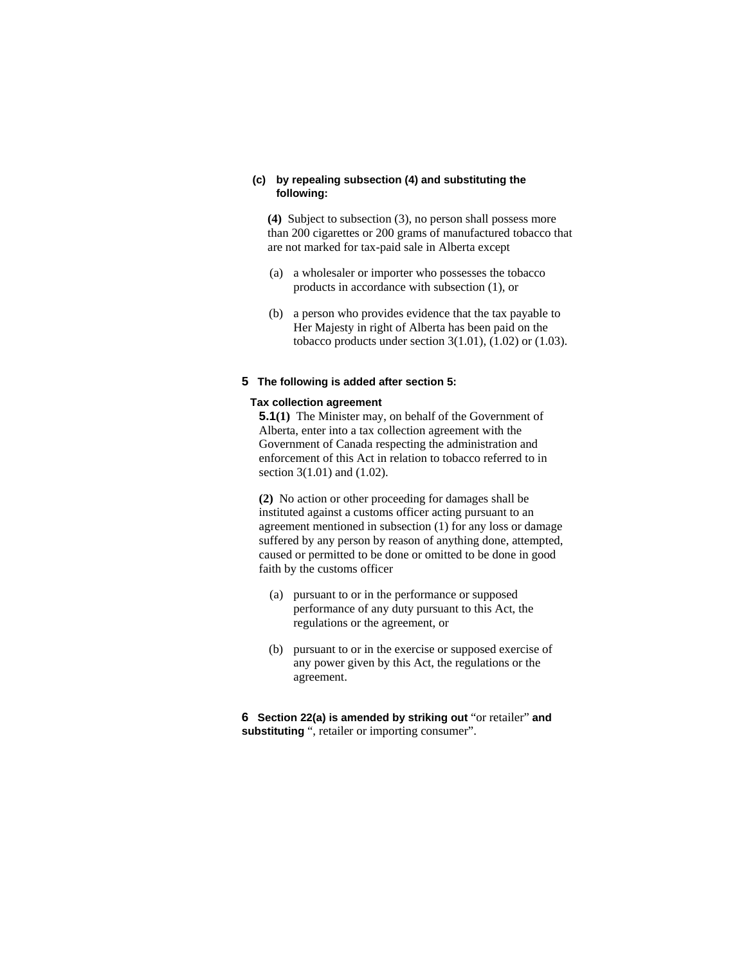#### **(c) by repealing subsection (4) and substituting the following:**

**(4)** Subject to subsection (3), no person shall possess more than 200 cigarettes or 200 grams of manufactured tobacco that are not marked for tax-paid sale in Alberta except

- (a) a wholesaler or importer who possesses the tobacco products in accordance with subsection (1), or
- (b) a person who provides evidence that the tax payable to Her Majesty in right of Alberta has been paid on the tobacco products under section  $3(1.01)$ ,  $(1.02)$  or  $(1.03)$ .

#### **5 The following is added after section 5:**

#### **Tax collection agreement**

**5.1(1)** The Minister may, on behalf of the Government of Alberta, enter into a tax collection agreement with the Government of Canada respecting the administration and enforcement of this Act in relation to tobacco referred to in section 3(1.01) and (1.02).

**(2)** No action or other proceeding for damages shall be instituted against a customs officer acting pursuant to an agreement mentioned in subsection (1) for any loss or damage suffered by any person by reason of anything done, attempted, caused or permitted to be done or omitted to be done in good faith by the customs officer

- (a) pursuant to or in the performance or supposed performance of any duty pursuant to this Act, the regulations or the agreement, or
- (b) pursuant to or in the exercise or supposed exercise of any power given by this Act, the regulations or the agreement.

**6 Section 22(a) is amended by striking out** "or retailer" **and substituting** ", retailer or importing consumer".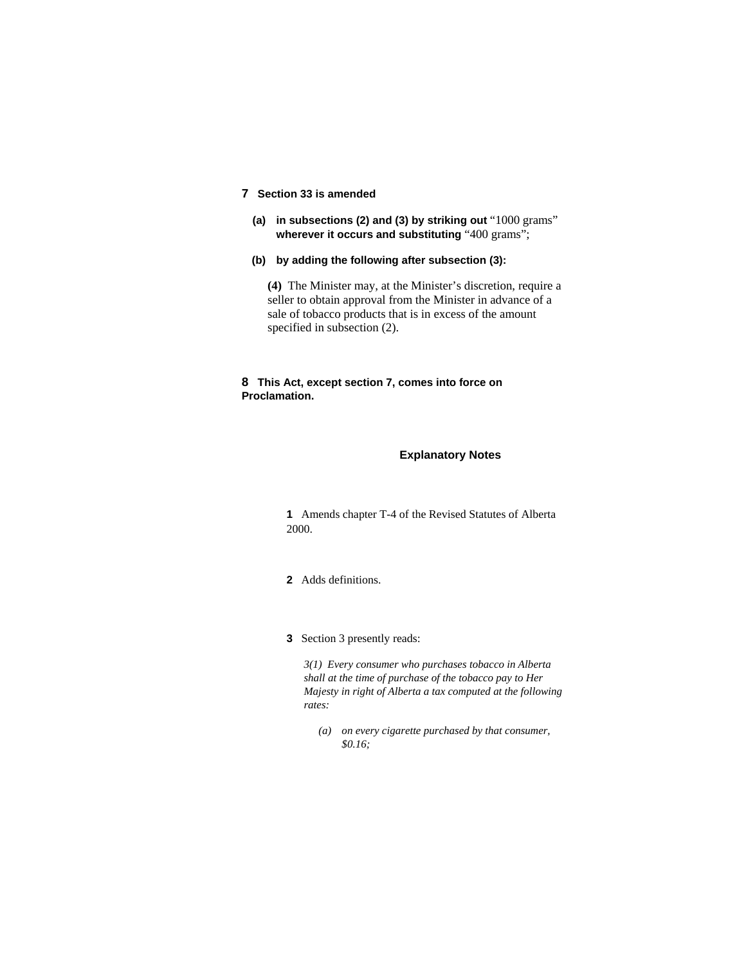# **7 Section 33 is amended**

- **(a) in subsections (2) and (3) by striking out** "1000 grams" **wherever it occurs and substituting** "400 grams";
- **(b) by adding the following after subsection (3):**

**(4)** The Minister may, at the Minister's discretion, require a seller to obtain approval from the Minister in advance of a sale of tobacco products that is in excess of the amount specified in subsection (2).

#### **8 This Act, except section 7, comes into force on Proclamation.**

#### **Explanatory Notes**

**1** Amends chapter T-4 of the Revised Statutes of Alberta 2000.

- **2** Adds definitions.
- **3** Section 3 presently reads:

*3(1) Every consumer who purchases tobacco in Alberta shall at the time of purchase of the tobacco pay to Her Majesty in right of Alberta a tax computed at the following rates:* 

 *(a) on every cigarette purchased by that consumer, \$0.16;*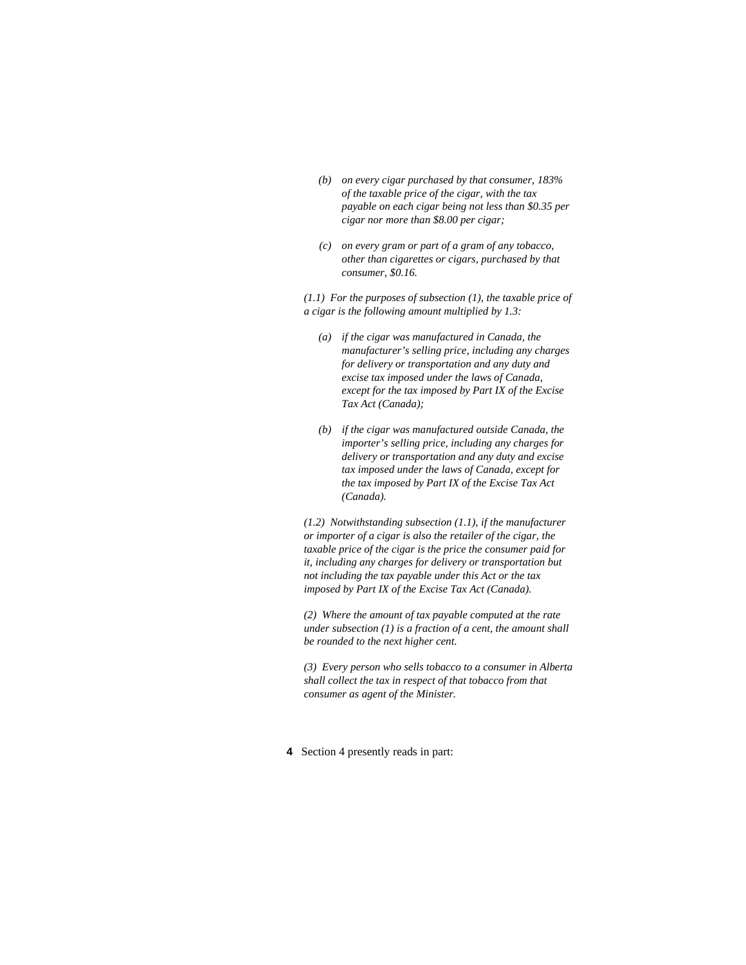- *(b) on every cigar purchased by that consumer, 183% of the taxable price of the cigar, with the tax payable on each cigar being not less than \$0.35 per cigar nor more than \$8.00 per cigar;*
- *(c) on every gram or part of a gram of any tobacco, other than cigarettes or cigars, purchased by that consumer, \$0.16.*

*(1.1) For the purposes of subsection (1), the taxable price of a cigar is the following amount multiplied by 1.3:* 

- *(a) if the cigar was manufactured in Canada, the manufacturer's selling price, including any charges for delivery or transportation and any duty and excise tax imposed under the laws of Canada, except for the tax imposed by Part IX of the Excise Tax Act (Canada);*
- *(b) if the cigar was manufactured outside Canada, the importer's selling price, including any charges for delivery or transportation and any duty and excise tax imposed under the laws of Canada, except for the tax imposed by Part IX of the Excise Tax Act (Canada).*

*(1.2) Notwithstanding subsection (1.1), if the manufacturer or importer of a cigar is also the retailer of the cigar, the taxable price of the cigar is the price the consumer paid for it, including any charges for delivery or transportation but not including the tax payable under this Act or the tax imposed by Part IX of the Excise Tax Act (Canada).* 

*(2) Where the amount of tax payable computed at the rate under subsection (1) is a fraction of a cent, the amount shall be rounded to the next higher cent.* 

*(3) Every person who sells tobacco to a consumer in Alberta shall collect the tax in respect of that tobacco from that consumer as agent of the Minister.* 

**4** Section 4 presently reads in part: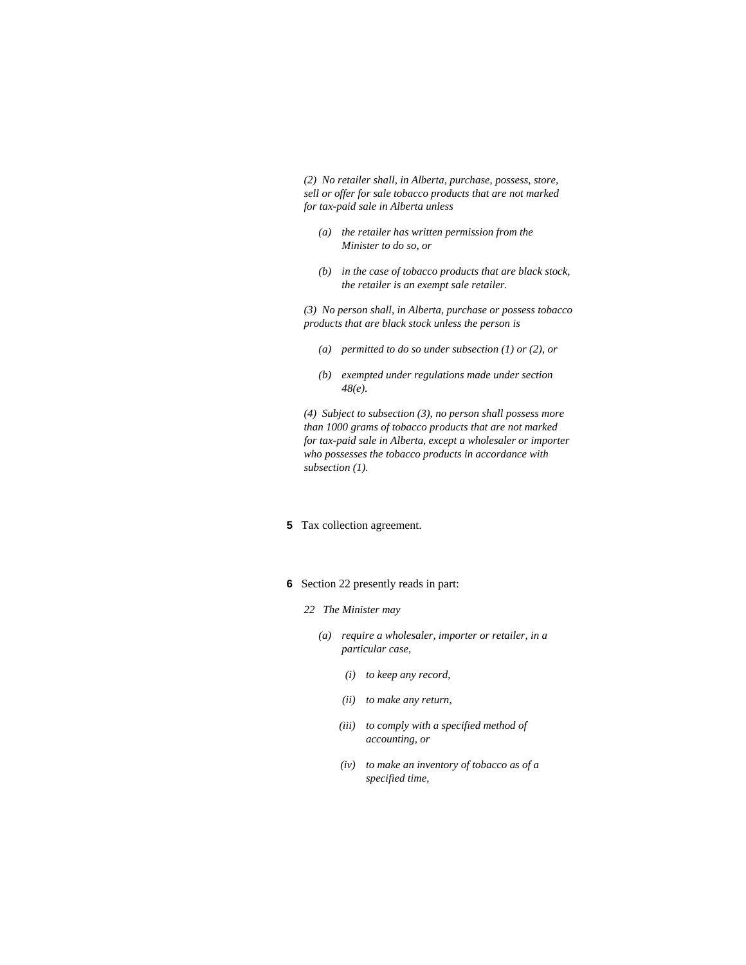*(2) No retailer shall, in Alberta, purchase, possess, store, sell or offer for sale tobacco products that are not marked for tax-paid sale in Alberta unless* 

- *(a) the retailer has written permission from the Minister to do so, or*
- *(b) in the case of tobacco products that are black stock, the retailer is an exempt sale retailer.*

*(3) No person shall, in Alberta, purchase or possess tobacco products that are black stock unless the person is* 

- *(a) permitted to do so under subsection (1) or (2), or*
- *(b) exempted under regulations made under section 48(e).*

*(4) Subject to subsection (3), no person shall possess more than 1000 grams of tobacco products that are not marked for tax-paid sale in Alberta, except a wholesaler or importer who possesses the tobacco products in accordance with subsection (1).* 

- **5** Tax collection agreement.
- **6** Section 22 presently reads in part:
	- *22 The Minister may* 
		- *(a) require a wholesaler, importer or retailer, in a particular case,* 
			- *(i) to keep any record,*
			- *(ii) to make any return,*
			- *(iii) to comply with a specified method of accounting, or*
			- *(iv) to make an inventory of tobacco as of a specified time,*